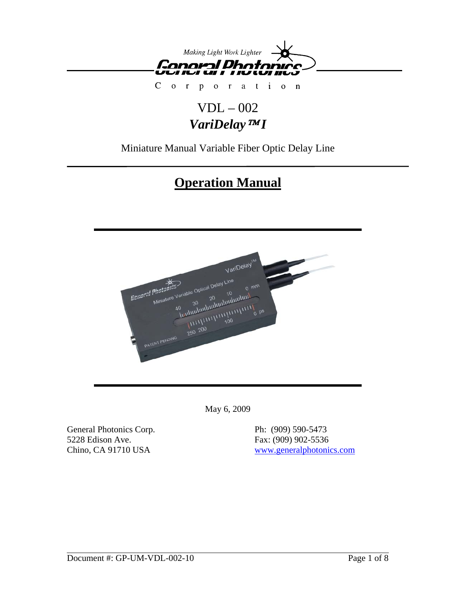

 $\mathsf{C}$  $\overline{O}$ r a t i o n  $\mathbf{r}$  $\mathbf{o}$  $\mathbf{p}$ 

## VDL – 002 *VariDelay*™ *I*

Miniature Manual Variable Fiber Optic Delay Line

# **Operation Manual**



May 6, 2009

General Photonics Corp. Ph: (909) 590-5473 5228 Edison Ave. Fax: (909) 902-5536

Chino, CA 91710 USA [www.generalphotonics.com](http://www.generalphotonics.com/)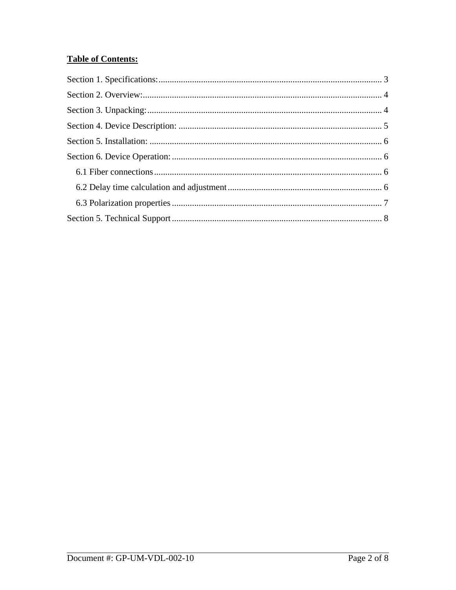## **Table of Contents:**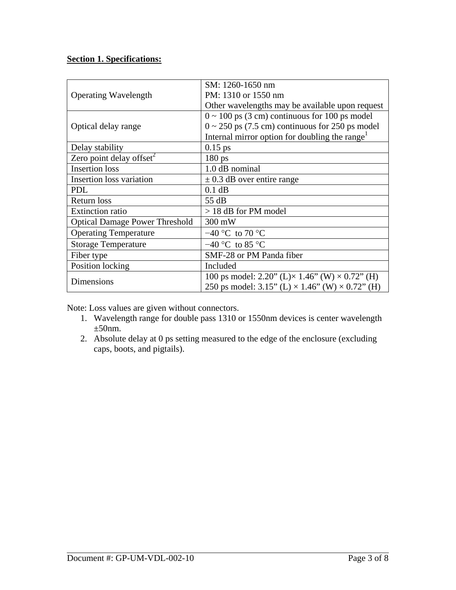## <span id="page-2-0"></span>**Section 1. Specifications:**

| <b>Operating Wavelength</b>           | SM: 1260-1650 nm                                                 |
|---------------------------------------|------------------------------------------------------------------|
|                                       | PM: 1310 or 1550 nm                                              |
|                                       | Other wavelengths may be available upon request                  |
| Optical delay range                   | $0 \sim 100$ ps (3 cm) continuous for 100 ps model               |
|                                       | $0 \sim 250$ ps (7.5 cm) continuous for 250 ps model             |
|                                       | Internal mirror option for doubling the range <sup>1</sup>       |
| Delay stability                       | $0.15$ ps                                                        |
| Zero point delay offset <sup>2</sup>  | $180 \text{ ps}$                                                 |
| <b>Insertion</b> loss                 | 1.0 dB nominal                                                   |
| Insertion loss variation              | $\pm$ 0.3 dB over entire range                                   |
| <b>PDL</b>                            | $0.1$ dB                                                         |
| <b>Return loss</b>                    | 55 dB                                                            |
| <b>Extinction ratio</b>               | $> 18$ dB for PM model                                           |
| <b>Optical Damage Power Threshold</b> | 300 mW                                                           |
| <b>Operating Temperature</b>          | $-40$ °C to 70 °C                                                |
| <b>Storage Temperature</b>            | $-40$ °C to 85 °C                                                |
| Fiber type                            | SMF-28 or PM Panda fiber                                         |
| Position locking                      | Included                                                         |
| Dimensions                            | 100 ps model: 2.20" (L) $\times$ 1.46" (W) $\times$ 0.72" (H)    |
|                                       | 250 ps model: $3.15$ " (L) $\times$ 1.46" (W) $\times$ 0.72" (H) |

Note: Loss values are given without connectors.

- 1. Wavelength range for double pass 1310 or 1550nm devices is center wavelength  $\pm 50$ nm.
- 2. Absolute delay at 0 ps setting measured to the edge of the enclosure (excluding caps, boots, and pigtails).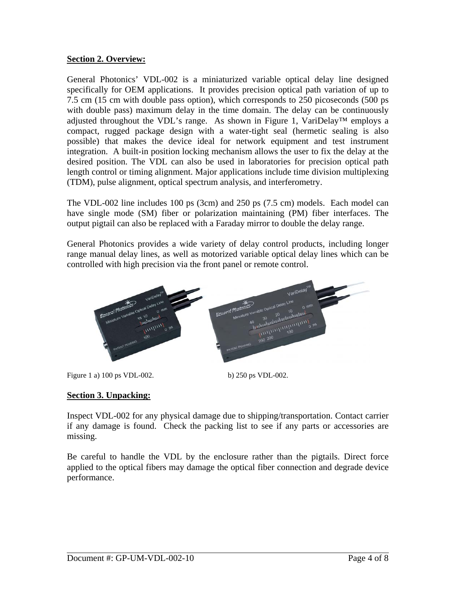### <span id="page-3-0"></span>**Section 2. Overview:**

General Photonics' VDL-002 is a miniaturized variable optical delay line designed specifically for OEM applications. It provides precision optical path variation of up to 7.5 cm (15 cm with double pass option), which corresponds to 250 picoseconds (500 ps with double pass) maximum delay in the time domain. The delay can be continuously adjusted throughout the VDL's range. As shown in Figure 1, VariDelay™ employs a compact, rugged package design with a water-tight seal (hermetic sealing is also possible) that makes the device ideal for network equipment and test instrument integration. A built-in position locking mechanism allows the user to fix the delay at the desired position. The VDL can also be used in laboratories for precision optical path length control or timing alignment. Major applications include time division multiplexing (TDM), pulse alignment, optical spectrum analysis, and interferometry.

The VDL-002 line includes 100 ps (3cm) and 250 ps (7.5 cm) models. Each model can have single mode (SM) fiber or polarization maintaining (PM) fiber interfaces. The output pigtail can also be replaced with a Faraday mirror to double the delay range.

General Photonics provides a wide variety of delay control products, including longer range manual delay lines, as well as motorized variable optical delay lines which can be controlled with high precision via the front panel or remote control.



Figure 1 a) 100 ps VDL-002. b) 250 ps VDL-002.

## **Section 3. Unpacking:**

Inspect VDL-002 for any physical damage due to shipping/transportation. Contact carrier if any damage is found. Check the packing list to see if any parts or accessories are missing.

Be careful to handle the VDL by the enclosure rather than the pigtails. Direct force applied to the optical fibers may damage the optical fiber connection and degrade device performance.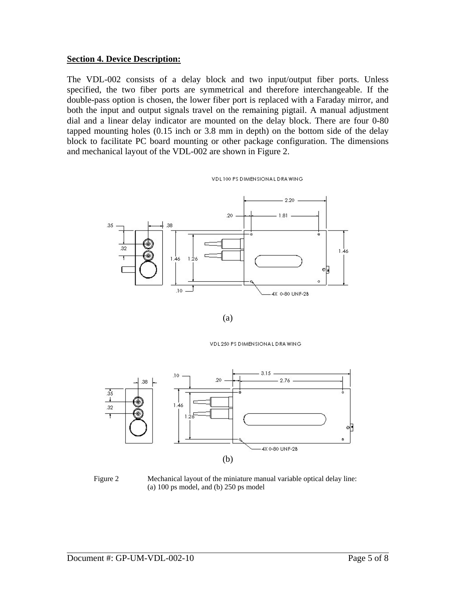#### <span id="page-4-0"></span>**Section 4. Device Description:**

The VDL-002 consists of a delay block and two input/output fiber ports. Unless specified, the two fiber ports are symmetrical and therefore interchangeable. If the double-pass option is chosen, the lower fiber port is replaced with a Faraday mirror, and both the input and output signals travel on the remaining pigtail. A manual adjustment dial and a linear delay indicator are mounted on the delay block. There are four 0-80 tapped mounting holes (0.15 inch or 3.8 mm in depth) on the bottom side of the delay block to facilitate PC board mounting or other package configuration. The dimensions and mechanical layout of the VDL-002 are shown in Figure 2.

VDL100 PS DIMENSIONAL DRAWING



(a)

VDL 250 PS DIMENSIONAL DRAWING



Figure 2 Mechanical layout of the miniature manual variable optical delay line: (a) 100 ps model, and (b) 250 ps model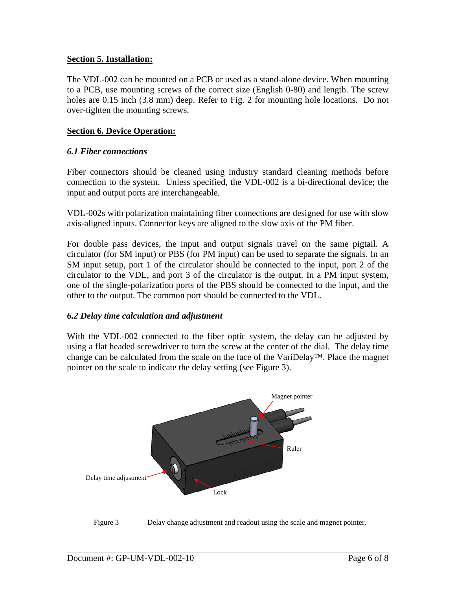#### <span id="page-5-0"></span>**Section 5. Installation:**

The VDL-002 can be mounted on a PCB or used as a stand-alone device. When mounting to a PCB, use mounting screws of the correct size (English 0-80) and length. The screw holes are 0.15 inch (3.8 mm) deep. Refer to Fig. 2 for mounting hole locations. Do not over-tighten the mounting screws.

#### **Section 6. Device Operation:**

#### *6.1 Fiber connections*

Fiber connectors should be cleaned using industry standard cleaning methods before connection to the system. Unless specified, the VDL-002 is a bi-directional device; the input and output ports are interchangeable.

VDL-002s with polarization maintaining fiber connections are designed for use with slow axis-aligned inputs. Connector keys are aligned to the slow axis of the PM fiber.

For double pass devices, the input and output signals travel on the same pigtail. A circulator (for SM input) or PBS (for PM input) can be used to separate the signals. In an SM input setup, port 1 of the circulator should be connected to the input, port 2 of the circulator to the VDL, and port 3 of the circulator is the output. In a PM input system, one of the single-polarization ports of the PBS should be connected to the input, and the other to the output. The common port should be connected to the VDL.

#### *6.2 Delay time calculation and adjustment*

With the VDL-002 connected to the fiber optic system, the delay can be adjusted by using a flat headed screwdriver to turn the screw at the center of the dial. The delay time change can be calculated from the scale on the face of the VariDelay™. Place the magnet pointer on the scale to indicate the delay setting (see Figure 3).



<span id="page-5-1"></span>Figure 3 Delay change adjustment and readout using the scale and magnet pointer.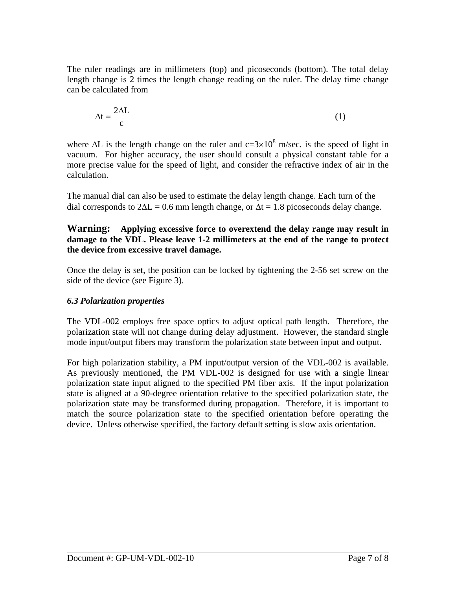<span id="page-6-0"></span>The ruler readings are in millimeters (top) and picoseconds (bottom). The total delay length change is 2 times the length change reading on the ruler. The delay time change can be calculated from

$$
\Delta t = \frac{2\Delta L}{c} \tag{1}
$$

where  $\Delta L$  is the length change on the ruler and  $c=3\times10^8$  m/sec. is the speed of light in vacuum. For higher accuracy, the user should consult a physical constant table for a more precise value for the speed of light, and consider the refractive index of air in the calculation.

The manual dial can also be used to estimate the delay length change. Each turn of the dial corresponds to  $2\Delta L = 0.6$  mm length change, or  $\Delta t = 1.8$  picoseconds delay change.

#### **Warning: Applying excessive force to overextend the delay range may result in damage to the VDL. Please leave 1-2 millimeters at the end of the range to protect the device from excessive travel damage.**

Once the delay is set, the position can be locked by tightening the 2-56 set screw on the side of the device (see [Figure 3\)](#page-5-1).

## *6.3 Polarization properties*

The VDL-002 employs free space optics to adjust optical path length. Therefore, the polarization state will not change during delay adjustment. However, the standard single mode input/output fibers may transform the polarization state between input and output.

For high polarization stability, a PM input/output version of the VDL-002 is available. As previously mentioned, the PM VDL-002 is designed for use with a single linear polarization state input aligned to the specified PM fiber axis. If the input polarization state is aligned at a 90-degree orientation relative to the specified polarization state, the polarization state may be transformed during propagation. Therefore, it is important to match the source polarization state to the specified orientation before operating the device. Unless otherwise specified, the factory default setting is slow axis orientation.